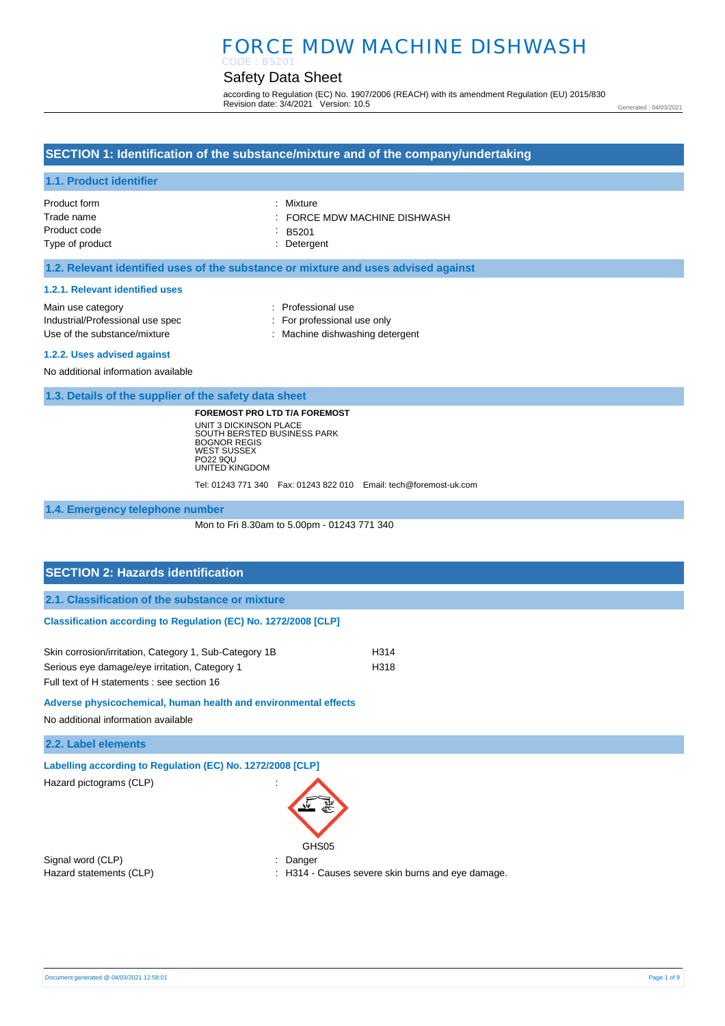#### Safety Data Sheet CODE : B5201

according to Regulation (EC) No. 1907/2006 (REACH) with its amendment Regulation (EU) 2015/830 Revision date: 3/4/2021 Version: 10.5

Generated : 04/03/2021

### **SECTION 1: Identification of the substance/mixture and of the company/undertaking**

### **1.1. Product identifier**

| Product form    | : Mixture                  |
|-----------------|----------------------------|
| Trade name      | FORCE MDW MACHINE DISHWASH |
| Product code    | $-B5201$                   |
| Type of product | : Detergent                |

### **1.2. Relevant identified uses of the substance or mixture and uses advised against**

#### **1.2.1. Relevant identified uses**

| Main use category                | : Professional use              |
|----------------------------------|---------------------------------|
| Industrial/Professional use spec | : For professional use only     |
| Use of the substance/mixture     | : Machine dishwashing detergent |
| 1.2.2. Uses advised against      |                                 |

No additional information available

**1.3. Details of the supplier of the safety data sheet**

**FOREMOST PRO LTD T/A FOREMOST** UNIT 3 DICKINSON PLACE SOUTH BERSTED BUSINESS PARK BOGNOR REGIS WEST SUSSEX PO22 9QU UNITED KINGDOM

Tel: 01243 771 340 Fax: 01243 822 010 Email: tech@foremost-uk.com

**1.4. Emergency telephone number**

Mon to Fri 8.30am to 5.00pm - 01243 771 340

# **SECTION 2: Hazards identification 2.1. Classification of the substance or mixture Classification according to Regulation (EC) No. 1272/2008 [CLP]** Skin corrosion/irritation, Category 1, Sub-Category 1B H314

Serious eye damage/eye irritation, Category 1 H318 Full text of H statements : see section 16

**Adverse physicochemical, human health and environmental effects** 

No additional information available

**2.2. Label elements**

**Labelling according to Regulation (EC) No. 1272/2008 [CLP]** 

Hazard pictograms (CLP) :



Signal word (CLP)  $\qquad \qquad$ : Danger

Hazard statements (CLP) : H314 - Causes severe skin burns and eye damage.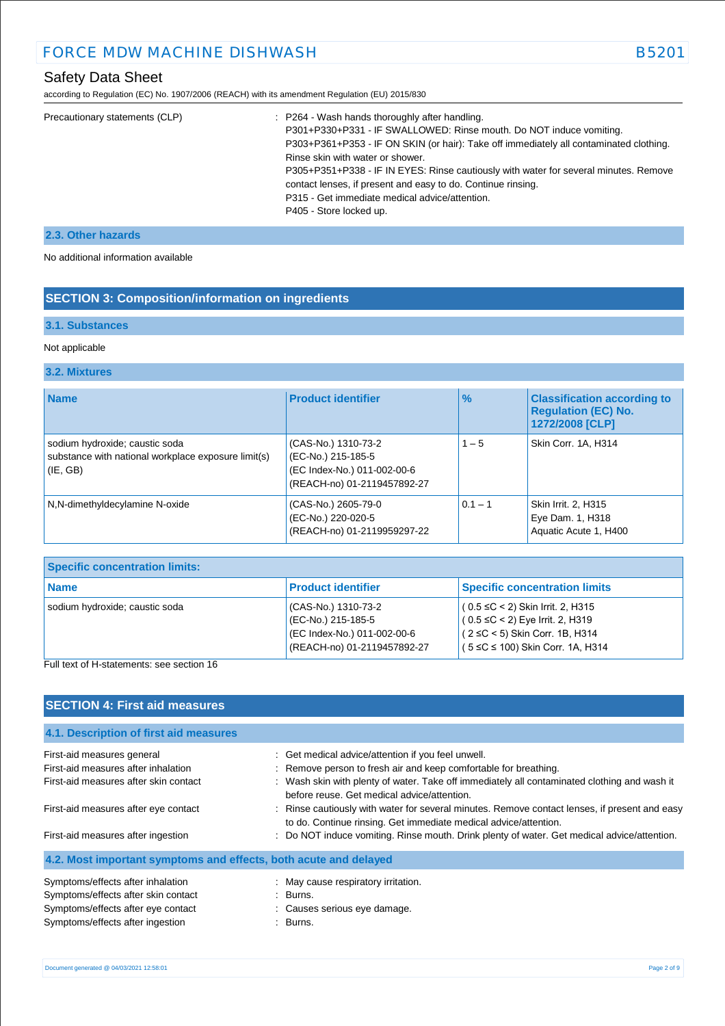according to Regulation (EC) No. 1907/2006 (REACH) with its amendment Regulation (EU) 2015/830

| Precautionary statements (CLP) | : P264 - Wash hands thoroughly after handling.<br>P301+P330+P331 - IF SWALLOWED: Rinse mouth. Do NOT induce vomiting.<br>P303+P361+P353 - IF ON SKIN (or hair): Take off immediately all contaminated clothing.<br>Rinse skin with water or shower.<br>P305+P351+P338 - IF IN EYES: Rinse cautiously with water for several minutes. Remove<br>contact lenses, if present and easy to do. Continue rinsing.<br>P315 - Get immediate medical advice/attention.<br>P405 - Store locked up. |
|--------------------------------|------------------------------------------------------------------------------------------------------------------------------------------------------------------------------------------------------------------------------------------------------------------------------------------------------------------------------------------------------------------------------------------------------------------------------------------------------------------------------------------|
|                                |                                                                                                                                                                                                                                                                                                                                                                                                                                                                                          |

### **2.3. Other hazards**

No additional information available

# **SECTION 3: Composition/information on ingredients**

# **3.1. Substances**

### Not applicable

### **3.2. Mixtures**

| <b>Name</b>                                                                                       | <b>Product identifier</b>                                                                               | $\%$      | <b>Classification according to</b><br><b>Regulation (EC) No.</b><br>1272/2008 [CLP] |
|---------------------------------------------------------------------------------------------------|---------------------------------------------------------------------------------------------------------|-----------|-------------------------------------------------------------------------------------|
| sodium hydroxide; caustic soda<br>substance with national workplace exposure limit(s)<br>(IE, GB) | (CAS-No.) 1310-73-2<br>(EC-No.) 215-185-5<br>(EC Index-No.) 011-002-00-6<br>(REACH-no) 01-2119457892-27 | $1 - 5$   | Skin Corr. 1A, H314                                                                 |
| N,N-dimethyldecylamine N-oxide                                                                    | (CAS-No.) 2605-79-0<br>(EC-No.) 220-020-5<br>(REACH-no) 01-2119959297-22                                | $0.1 - 1$ | Skin Irrit. 2, H315<br>Eye Dam. 1, H318<br>Aquatic Acute 1, H400                    |

| <b>Specific concentration limits:</b> |                                                                                                         |                                                                                                                                                             |
|---------------------------------------|---------------------------------------------------------------------------------------------------------|-------------------------------------------------------------------------------------------------------------------------------------------------------------|
| l Name                                | <b>Product identifier</b>                                                                               | <b>Specific concentration limits</b>                                                                                                                        |
| sodium hydroxide; caustic soda        | (CAS-No.) 1310-73-2<br>(EC-No.) 215-185-5<br>(EC Index-No.) 011-002-00-6<br>(REACH-no) 01-2119457892-27 | $(0.5 \leq C < 2)$ Skin Irrit. 2, H315<br>$(0.5 \leq C < 2)$ Eye Irrit. 2, H319<br>$(2 ≤ C < 5)$ Skin Corr. 1B, H314<br>$(5 ≤ C ≤ 100)$ Skin Corr. 1A, H314 |

#### Full text of H-statements: see section 16

| <b>SECTION 4: First aid measures</b>                             |                                                                                                                                                                   |
|------------------------------------------------------------------|-------------------------------------------------------------------------------------------------------------------------------------------------------------------|
| 4.1. Description of first aid measures                           |                                                                                                                                                                   |
| First-aid measures general                                       | : Get medical advice/attention if you feel unwell.                                                                                                                |
| First-aid measures after inhalation                              | : Remove person to fresh air and keep comfortable for breathing.                                                                                                  |
| First-aid measures after skin contact                            | : Wash skin with plenty of water. Take off immediately all contaminated clothing and wash it<br>before reuse. Get medical advice/attention.                       |
| First-aid measures after eye contact                             | : Rinse cautiously with water for several minutes. Remove contact lenses, if present and easy<br>to do. Continue rinsing. Get immediate medical advice/attention. |
| First-aid measures after ingestion                               | Do NOT induce vomiting. Rinse mouth. Drink plenty of water. Get medical advice/attention.                                                                         |
| 4.2. Most important symptoms and effects, both acute and delayed |                                                                                                                                                                   |
| Symptoms/effects after inhalation                                | : May cause respiratory irritation.                                                                                                                               |
| Symptoms/effects after skin contact                              | : Burns.                                                                                                                                                          |
| Symptoms/effects after eye contact                               | : Causes serious eye damage.                                                                                                                                      |
| Symptoms/effects after ingestion                                 | : Burns.                                                                                                                                                          |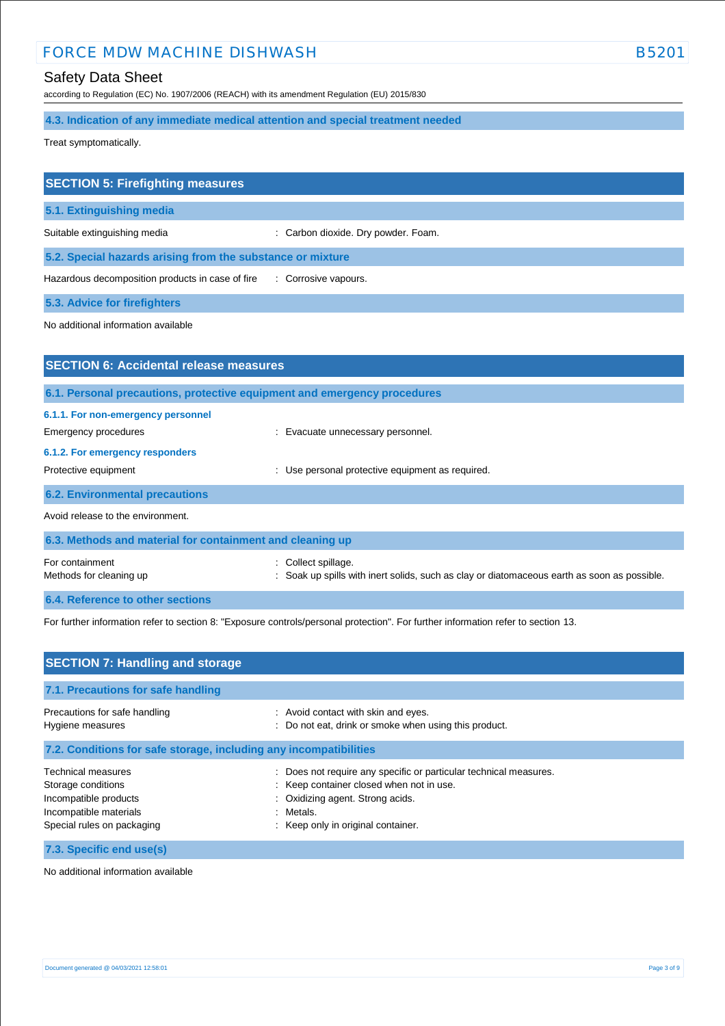# Safety Data Sheet

according to Regulation (EC) No. 1907/2006 (REACH) with its amendment Regulation (EU) 2015/830

**4.3. Indication of any immediate medical attention and special treatment needed**

Treat symptomatically.

| <b>SECTION 5: Firefighting measures</b>                    |                                     |
|------------------------------------------------------------|-------------------------------------|
| 5.1. Extinguishing media                                   |                                     |
| Suitable extinguishing media                               | : Carbon dioxide. Dry powder. Foam. |
| 5.2. Special hazards arising from the substance or mixture |                                     |
| Hazardous decomposition products in case of fire           | : Corrosive vapours.                |
| <b>5.3. Advice for firefighters</b>                        |                                     |

No additional information available

| <b>SECTION 6: Accidental release measures</b>                            |                                                                                                                |  |  |  |
|--------------------------------------------------------------------------|----------------------------------------------------------------------------------------------------------------|--|--|--|
| 6.1. Personal precautions, protective equipment and emergency procedures |                                                                                                                |  |  |  |
| 6.1.1. For non-emergency personnel                                       |                                                                                                                |  |  |  |
| Emergency procedures                                                     | : Evacuate unnecessary personnel.                                                                              |  |  |  |
| 6.1.2. For emergency responders                                          |                                                                                                                |  |  |  |
| Protective equipment                                                     | Use personal protective equipment as required.                                                                 |  |  |  |
| <b>6.2. Environmental precautions</b>                                    |                                                                                                                |  |  |  |
| Avoid release to the environment.                                        |                                                                                                                |  |  |  |
| 6.3. Methods and material for containment and cleaning up                |                                                                                                                |  |  |  |
| For containment<br>Methods for cleaning up                               | Collect spillage.<br>Soak up spills with inert solids, such as clay or diatomaceous earth as soon as possible. |  |  |  |
|                                                                          |                                                                                                                |  |  |  |
| 6.4. Reference to other sections                                         |                                                                                                                |  |  |  |

For further information refer to section 8: "Exposure controls/personal protection". For further information refer to section 13.

| <b>SECTION 7: Handling and storage</b>                                                                                           |                                                                                                                                                                                                        |  |  |  |
|----------------------------------------------------------------------------------------------------------------------------------|--------------------------------------------------------------------------------------------------------------------------------------------------------------------------------------------------------|--|--|--|
| 7.1. Precautions for safe handling                                                                                               |                                                                                                                                                                                                        |  |  |  |
| Precautions for safe handling<br>Hygiene measures                                                                                | : Avoid contact with skin and eyes.<br>: Do not eat, drink or smoke when using this product.                                                                                                           |  |  |  |
| 7.2. Conditions for safe storage, including any incompatibilities                                                                |                                                                                                                                                                                                        |  |  |  |
| <b>Technical measures</b><br>Storage conditions<br>Incompatible products<br>Incompatible materials<br>Special rules on packaging | : Does not require any specific or particular technical measures.<br>: Keep container closed when not in use.<br>Oxidizing agent. Strong acids.<br>Metals.<br>۰.<br>: Keep only in original container. |  |  |  |
| 7.3. Specific end use(s)                                                                                                         |                                                                                                                                                                                                        |  |  |  |

No additional information available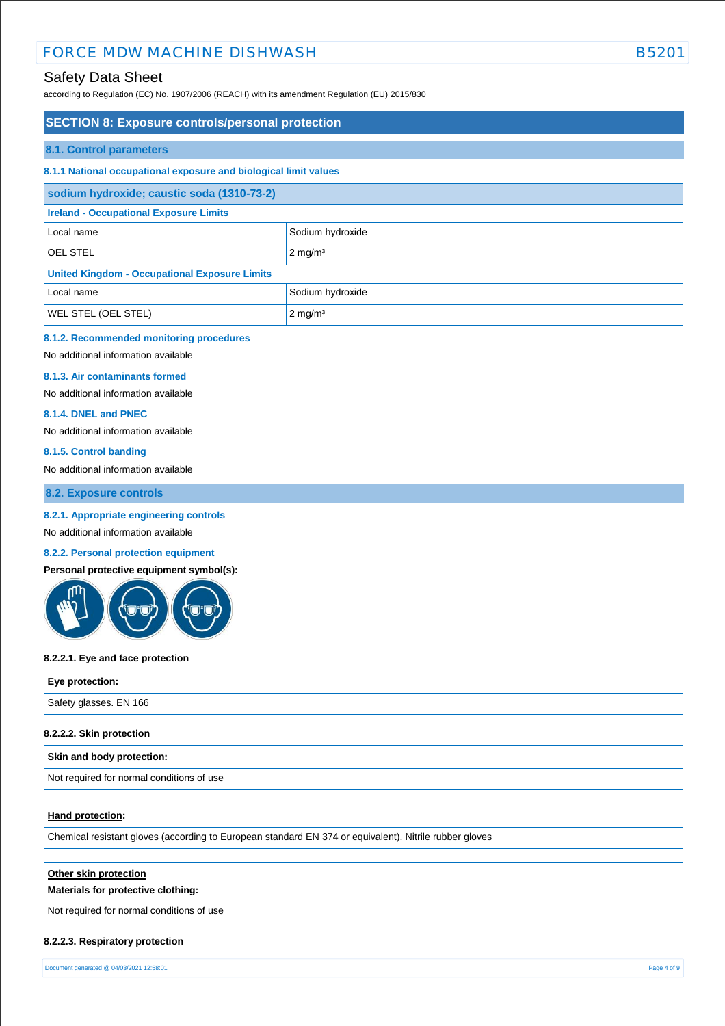# Safety Data Sheet

according to Regulation (EC) No. 1907/2006 (REACH) with its amendment Regulation (EU) 2015/830

### **SECTION 8: Exposure controls/personal protection**

#### **8.1. Control parameters**

#### **8.1.1 National occupational exposure and biological limit values**

| sodium hydroxide; caustic soda (1310-73-2)           |                    |  |  |
|------------------------------------------------------|--------------------|--|--|
| <b>Ireland - Occupational Exposure Limits</b>        |                    |  |  |
| Local name                                           | Sodium hydroxide   |  |  |
| <b>OEL STEL</b>                                      | $2 \text{ mg/m}^3$ |  |  |
| <b>United Kingdom - Occupational Exposure Limits</b> |                    |  |  |
| Local name                                           | Sodium hydroxide   |  |  |
| WEL STEL (OEL STEL)                                  | $2 \text{ mg/m}^3$ |  |  |

### **8.1.2. Recommended monitoring procedures**

No additional information available

#### **8.1.3. Air contaminants formed**

No additional information available

#### **8.1.4. DNEL and PNEC**

No additional information available

#### **8.1.5. Control banding**

No additional information available

**8.2. Exposure controls**

#### **8.2.1. Appropriate engineering controls**

No additional information available

#### **8.2.2. Personal protection equipment**

**Personal protective equipment symbol(s):**



#### **8.2.2.1. Eye and face protection**

| Eye protection:        |  |
|------------------------|--|
| Safety glasses. EN 166 |  |
|                        |  |

#### **8.2.2.2. Skin protection**

#### **Skin and body protection:**

Not required for normal conditions of use

#### **Hand protection:**

Chemical resistant gloves (according to European standard EN 374 or equivalent). Nitrile rubber gloves

#### **Other skin protection**

#### **Materials for protective clothing:**

Not required for normal conditions of use

#### **8.2.2.3. Respiratory protection**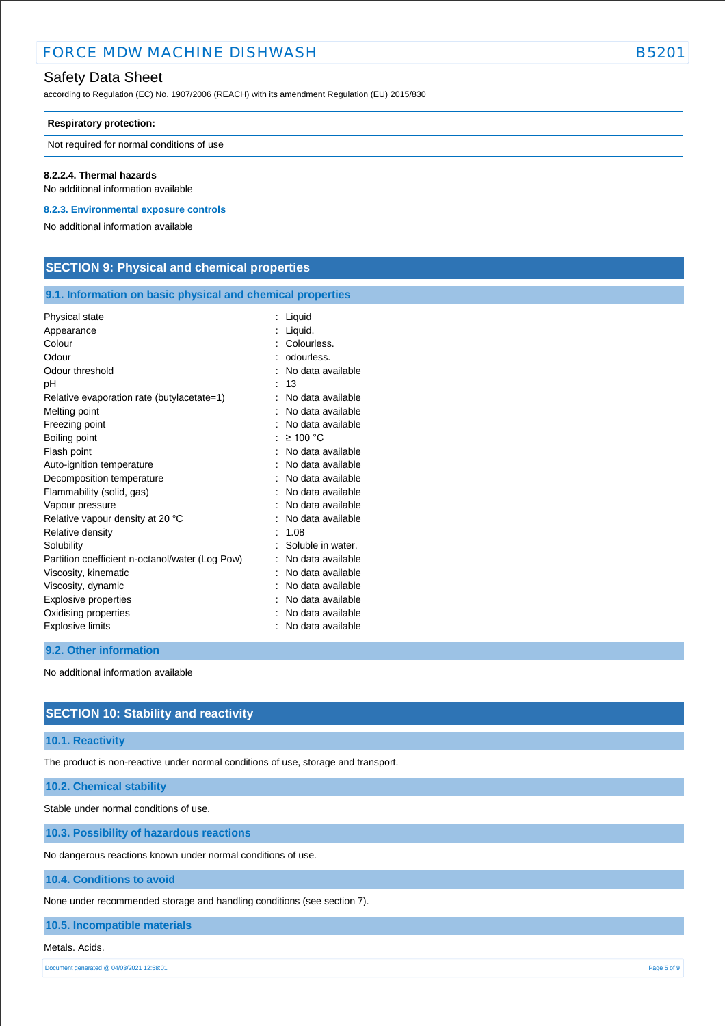## Safety Data Sheet

according to Regulation (EC) No. 1907/2006 (REACH) with its amendment Regulation (EU) 2015/830

#### **Respiratory protection:**

Not required for normal conditions of use

#### **8.2.2.4. Thermal hazards**

No additional information available

**8.2.3. Environmental exposure controls** 

No additional information available

# **SECTION 9: Physical and chemical properties**

### **9.1. Information on basic physical and chemical properties**

| Physical state                                  | Liquid            |
|-------------------------------------------------|-------------------|
| Appearance                                      | Liquid.           |
| Colour                                          | Colourless.       |
| Odour                                           | odourless.        |
| Odour threshold                                 | No data available |
| рH                                              | 13                |
| Relative evaporation rate (butylacetate=1)      | No data available |
| Melting point                                   | No data available |
| Freezing point                                  | No data available |
| Boiling point                                   | $\geq$ 100 °C     |
| Flash point                                     | No data available |
| Auto-ignition temperature                       | No data available |
| Decomposition temperature                       | No data available |
| Flammability (solid, gas)                       | No data available |
| Vapour pressure                                 | No data available |
| Relative vapour density at 20 °C                | No data available |
| Relative density                                | 1.08              |
| Solubility                                      | Soluble in water. |
| Partition coefficient n-octanol/water (Log Pow) | No data available |
| Viscosity, kinematic                            | No data available |
| Viscosity, dynamic                              | No data available |
| Explosive properties                            | No data available |
| Oxidising properties                            | No data available |
| <b>Explosive limits</b>                         | No data available |
|                                                 |                   |

#### **9.2. Other information**

No additional information available

### **SECTION 10: Stability and reactivity**

#### **10.1. Reactivity**

The product is non-reactive under normal conditions of use, storage and transport.

### **10.2. Chemical stability**

Stable under normal conditions of use.

**10.3. Possibility of hazardous reactions**

No dangerous reactions known under normal conditions of use.

#### **10.4. Conditions to avoid**

None under recommended storage and handling conditions (see section 7).

### **10.5. Incompatible materials**

#### Metals. Acids.

Document generated @ 04/03/2021 12:58:01 Page 5 of 9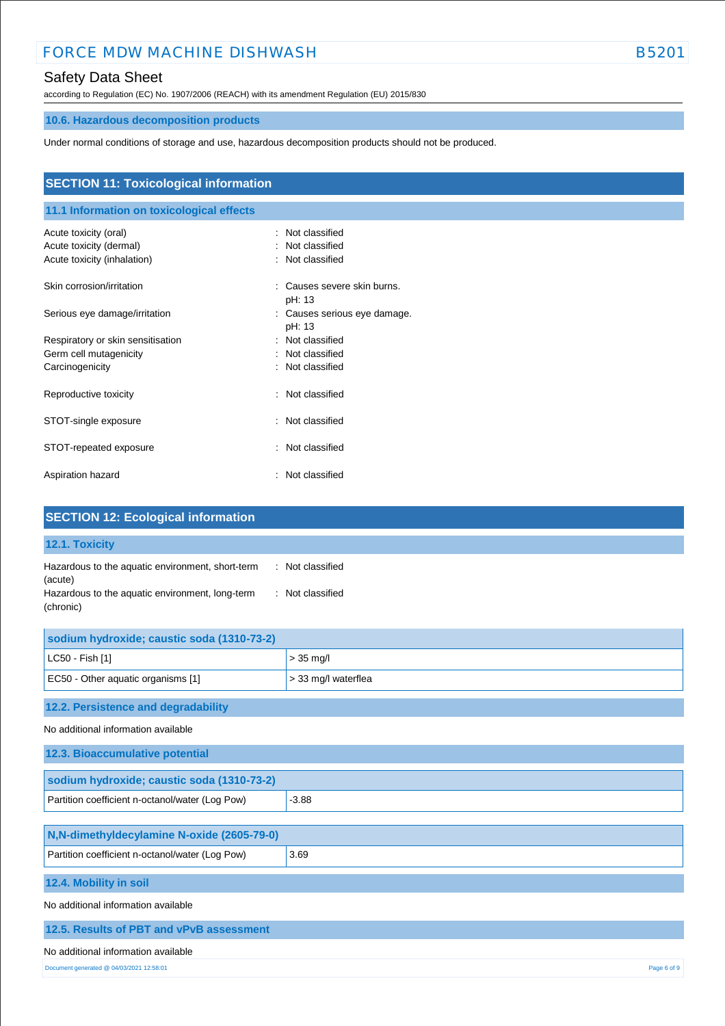# Safety Data Sheet

according to Regulation (EC) No. 1907/2006 (REACH) with its amendment Regulation (EU) 2015/830

# **10.6. Hazardous decomposition products**

Under normal conditions of storage and use, hazardous decomposition products should not be produced.

| <b>SECTION 11: Toxicological information</b><br>11.1 Information on toxicological effects |                                                              |  |  |  |
|-------------------------------------------------------------------------------------------|--------------------------------------------------------------|--|--|--|
|                                                                                           |                                                              |  |  |  |
| Acute toxicity (dermal)                                                                   | Not classified                                               |  |  |  |
| Acute toxicity (inhalation)                                                               | : Not classified                                             |  |  |  |
| Skin corrosion/irritation                                                                 | Causes severe skin burns.<br>÷<br>pH: 13                     |  |  |  |
| Serious eye damage/irritation                                                             | Causes serious eye damage.<br>$\ddot{\phantom{a}}$<br>pH: 13 |  |  |  |
| Respiratory or skin sensitisation                                                         | : Not classified                                             |  |  |  |
| Germ cell mutagenicity                                                                    | : Not classified                                             |  |  |  |
| Carcinogenicity                                                                           | : Not classified                                             |  |  |  |
| Reproductive toxicity                                                                     | Not classified<br>÷                                          |  |  |  |
| STOT-single exposure                                                                      | : Not classified                                             |  |  |  |
| STOT-repeated exposure                                                                    | Not classified<br>÷                                          |  |  |  |
| Aspiration hazard                                                                         | : Not classified                                             |  |  |  |

| <b>SECTION 12: Ecological information</b>                                                                                                                           |                     |  |  |
|---------------------------------------------------------------------------------------------------------------------------------------------------------------------|---------------------|--|--|
| 12.1. Toxicity                                                                                                                                                      |                     |  |  |
| Hazardous to the aquatic environment, short-term<br>: Not classified<br>(acute)<br>Hazardous to the aquatic environment, long-term<br>: Not classified<br>(chronic) |                     |  |  |
| sodium hydroxide; caustic soda (1310-73-2)                                                                                                                          |                     |  |  |
| LC50 - Fish [1]                                                                                                                                                     | $> 35$ mg/l         |  |  |
| EC50 - Other aquatic organisms [1]                                                                                                                                  | > 33 mg/l waterflea |  |  |
| 12.2. Persistence and degradability                                                                                                                                 |                     |  |  |
| No additional information available                                                                                                                                 |                     |  |  |
| 12.3. Bioaccumulative potential                                                                                                                                     |                     |  |  |
| sodium hydroxide; caustic soda (1310-73-2)                                                                                                                          |                     |  |  |
| Partition coefficient n-octanol/water (Log Pow)                                                                                                                     | $-3.88$             |  |  |
| N,N-dimethyldecylamine N-oxide (2605-79-0)                                                                                                                          |                     |  |  |
| Partition coefficient n-octanol/water (Log Pow)                                                                                                                     | 3.69                |  |  |
| 12.4. Mobility in soil                                                                                                                                              |                     |  |  |
| No additional information available                                                                                                                                 |                     |  |  |
| 12.5. Results of PBT and vPvB assessment                                                                                                                            |                     |  |  |
| No additional information available                                                                                                                                 |                     |  |  |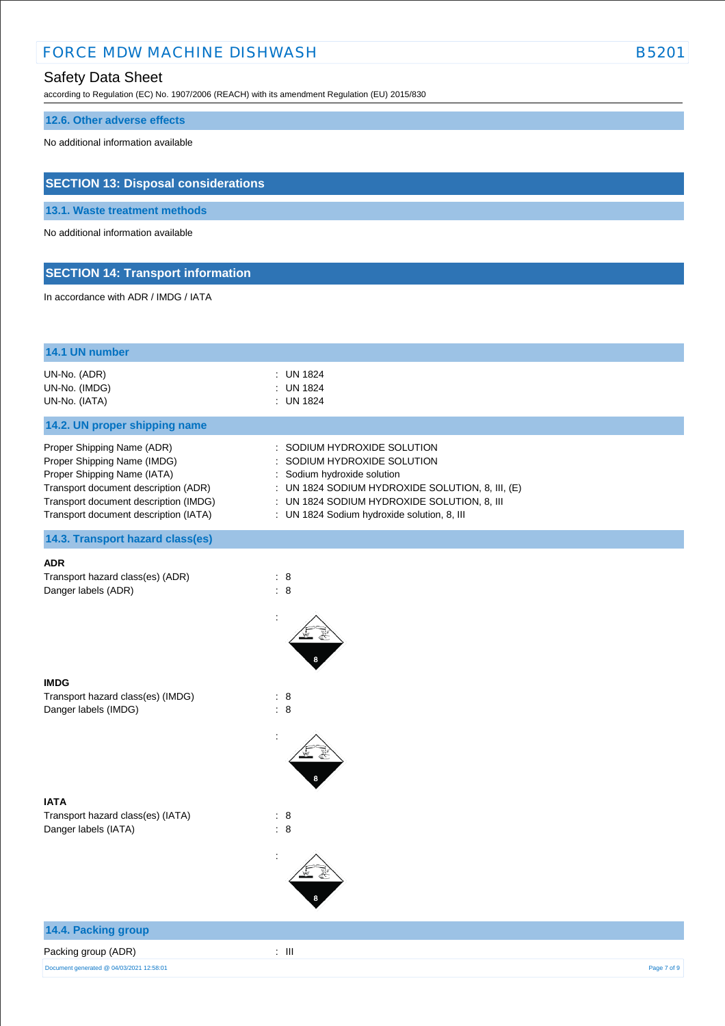# Safety Data Sheet

according to Regulation (EC) No. 1907/2006 (REACH) with its amendment Regulation (EU) 2015/830

### **12.6. Other adverse effects**

No additional information available

# **SECTION 13: Disposal considerations**

**13.1. Waste treatment methods**

No additional information available

# **SECTION 14: Transport information**

In accordance with ADR / IMDG / IATA

| 14.1 UN number                                                                                                                                                                                                     |                                                                                                                                                                                                                                         |             |
|--------------------------------------------------------------------------------------------------------------------------------------------------------------------------------------------------------------------|-----------------------------------------------------------------------------------------------------------------------------------------------------------------------------------------------------------------------------------------|-------------|
| UN-No. (ADR)<br>UN-No. (IMDG)<br>UN-No. (IATA)                                                                                                                                                                     | : UN 1824<br><b>UN 1824</b><br>: UN 1824                                                                                                                                                                                                |             |
| 14.2. UN proper shipping name                                                                                                                                                                                      |                                                                                                                                                                                                                                         |             |
| Proper Shipping Name (ADR)<br>Proper Shipping Name (IMDG)<br>Proper Shipping Name (IATA)<br>Transport document description (ADR)<br>Transport document description (IMDG)<br>Transport document description (IATA) | SODIUM HYDROXIDE SOLUTION<br>SODIUM HYDROXIDE SOLUTION<br>: Sodium hydroxide solution<br>: UN 1824 SODIUM HYDROXIDE SOLUTION, 8, III, (E)<br>: UN 1824 SODIUM HYDROXIDE SOLUTION, 8, III<br>: UN 1824 Sodium hydroxide solution, 8, III |             |
| 14.3. Transport hazard class(es)                                                                                                                                                                                   |                                                                                                                                                                                                                                         |             |
| <b>ADR</b><br>Transport hazard class(es) (ADR)<br>Danger labels (ADR)                                                                                                                                              | $\therefore$ 8<br>$\therefore$ 8                                                                                                                                                                                                        |             |
| <b>IMDG</b><br>Transport hazard class(es) (IMDG)<br>Danger labels (IMDG)                                                                                                                                           | : 8<br>$\therefore$ 8                                                                                                                                                                                                                   |             |
| <b>IATA</b><br>Transport hazard class(es) (IATA)<br>Danger labels (IATA)                                                                                                                                           | $\therefore$ 8<br>: 8                                                                                                                                                                                                                   |             |
| 14.4. Packing group<br>Packing group (ADR)<br>Document generated @ 04/03/2021 12:58:01                                                                                                                             | $\lesssim 10$                                                                                                                                                                                                                           | Page 7 of 9 |
|                                                                                                                                                                                                                    |                                                                                                                                                                                                                                         |             |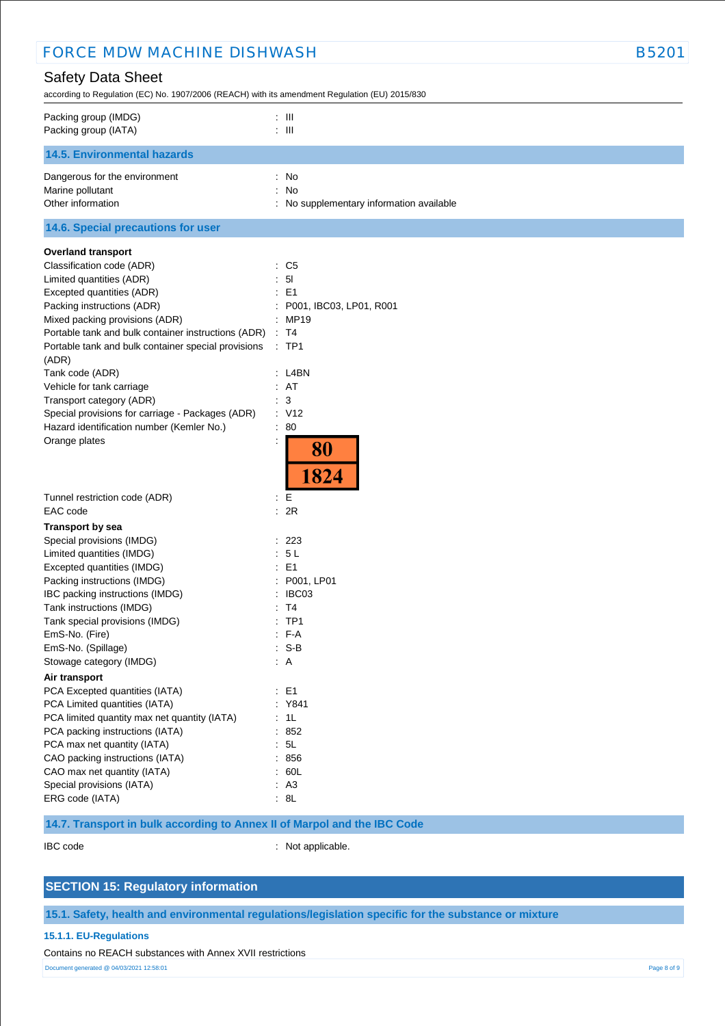| <b>FORCE MDW MACHINE DISHWASH</b>                                                                                                                                                                                                                                                                                                                                                                                                                                                                    |                                                                                                                                                            | <b>B5201</b> |
|------------------------------------------------------------------------------------------------------------------------------------------------------------------------------------------------------------------------------------------------------------------------------------------------------------------------------------------------------------------------------------------------------------------------------------------------------------------------------------------------------|------------------------------------------------------------------------------------------------------------------------------------------------------------|--------------|
| <b>Safety Data Sheet</b><br>according to Regulation (EC) No. 1907/2006 (REACH) with its amendment Regulation (EU) 2015/830                                                                                                                                                                                                                                                                                                                                                                           |                                                                                                                                                            |              |
| Packing group (IMDG)<br>Packing group (IATA)                                                                                                                                                                                                                                                                                                                                                                                                                                                         | $\therefore$ $\blacksquare$<br>$\therefore$ III                                                                                                            |              |
| <b>14.5. Environmental hazards</b>                                                                                                                                                                                                                                                                                                                                                                                                                                                                   |                                                                                                                                                            |              |
| Dangerous for the environment<br>Marine pollutant<br>Other information                                                                                                                                                                                                                                                                                                                                                                                                                               | : No<br>: No<br>: No supplementary information available                                                                                                   |              |
| 14.6. Special precautions for user                                                                                                                                                                                                                                                                                                                                                                                                                                                                   |                                                                                                                                                            |              |
| <b>Overland transport</b><br>Classification code (ADR)<br>Limited quantities (ADR)<br>Excepted quantities (ADR)<br>Packing instructions (ADR)<br>Mixed packing provisions (ADR)<br>Portable tank and bulk container instructions (ADR)<br>Portable tank and bulk container special provisions<br>(ADR)<br>Tank code (ADR)<br>Vehicle for tank carriage<br>Transport category (ADR)<br>Special provisions for carriage - Packages (ADR)<br>Hazard identification number (Kemler No.)<br>Orange plates | : C5<br>: 51<br>$\therefore$ E1<br>P001, IBC03, LP01, R001<br>: MP19<br>: T4<br>$:$ TP1<br>: L4BN<br>: AT<br>: 3<br>: V12<br>$\therefore 80$<br>80<br>1824 |              |
| Tunnel restriction code (ADR)                                                                                                                                                                                                                                                                                                                                                                                                                                                                        | $E =$                                                                                                                                                      |              |
| EAC code<br><b>Transport by sea</b>                                                                                                                                                                                                                                                                                                                                                                                                                                                                  | : 2R                                                                                                                                                       |              |
| Special provisions (IMDG)<br>Limited quantities (IMDG)<br>Excepted quantities (IMDG)<br>Packing instructions (IMDG)<br>IBC packing instructions (IMDG)<br>Tank instructions (IMDG)<br>Tank special provisions (IMDG)                                                                                                                                                                                                                                                                                 | 223<br>: 5L<br>E <sub>1</sub><br>P001, LP01<br>: IBC03<br>: T4<br>$:$ TP1<br>$: F-A$                                                                       |              |
| EmS-No. (Fire)<br>EmS-No. (Spillage)<br>Stowage category (IMDG)                                                                                                                                                                                                                                                                                                                                                                                                                                      | $: S-B$<br>$\therefore$ A                                                                                                                                  |              |
| Air transport                                                                                                                                                                                                                                                                                                                                                                                                                                                                                        |                                                                                                                                                            |              |
| PCA Excepted quantities (IATA)<br>PCA Limited quantities (IATA)<br>PCA limited quantity max net quantity (IATA)<br>PCA packing instructions (IATA)<br>PCA max net quantity (IATA)<br>CAO packing instructions (IATA)<br>CAO max net quantity (IATA)                                                                                                                                                                                                                                                  | $\therefore$ E1<br>: Y841<br>: 1L<br>: 852<br>: 5L<br>: 856<br>: 60L                                                                                       |              |
| Special provisions (IATA)<br>ERG code (IATA)                                                                                                                                                                                                                                                                                                                                                                                                                                                         | : A3<br>: 8L                                                                                                                                               |              |

# **14.7. Transport in bulk according to Annex II of Marpol and the IBC Code**

IBC code : Not applicable.

# **SECTION 15: Regulatory information**

# **15.1. Safety, health and environmental regulations/legislation specific for the substance or mixture**

### **15.1.1. EU-Regulations**

Contains no REACH substances with Annex XVII restrictions

Document generated @ 04/03/2021 12:58:01 Page 8 of 9